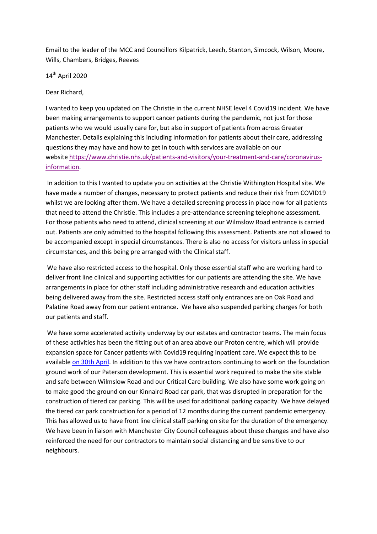Email to the leader of the MCC and Councillors Kilpatrick, Leech, Stanton, Simcock, Wilson, Moore, Wills, Chambers, Bridges, Reeves

14th April 2020

Dear Richard,

I wanted to keep you updated on The Christie in the current NHSE level 4 Covid19 incident. We have been making arrangements to support cancer patients during the pandemic, not just for those patients who we would usually care for, but also in support of patients from across Greater Manchester. Details explaining this including information for patients about their care, addressing questions they may have and how to get in touch with services are available on our website [https://www.christie.nhs.uk/patients-and-visitors/your-treatment-and-care/coronavirus](https://www.christie.nhs.uk/patients-and-visitors/your-treatment-and-care/coronavirus-information)[information.](https://www.christie.nhs.uk/patients-and-visitors/your-treatment-and-care/coronavirus-information)

In addition to this I wanted to update you on activities at the Christie Withington Hospital site. We have made a number of changes, necessary to protect patients and reduce their risk from COVID19 whilst we are looking after them. We have a detailed screening process in place now for all patients that need to attend the Christie. This includes a pre-attendance screening telephone assessment. For those patients who need to attend, clinical screening at our Wilmslow Road entrance is carried out. Patients are only admitted to the hospital following this assessment. Patients are not allowed to be accompanied except in special circumstances. There is also no access for visitors unless in special circumstances, and this being pre arranged with the Clinical staff.

We have also restricted access to the hospital. Only those essential staff who are working hard to deliver front line clinical and supporting activities for our patients are attending the site. We have arrangements in place for other staff including administrative research and education activities being delivered away from the site. Restricted access staff only entrances are on Oak Road and Palatine Road away from our patient entrance. We have also suspended parking charges for both our patients and staff.

We have some accelerated activity underway by our estates and contractor teams. The main focus of these activities has been the fitting out of an area above our Proton centre, which will provide expansion space for Cancer patients with Covid19 requiring inpatient care. We expect this to be available [on 30th April.](x-apple-data-detectors://1/) In addition to this we have contractors continuing to work on the foundation ground work of our Paterson development. This is essential work required to make the site stable and safe between Wilmslow Road and our Critical Care building. We also have some work going on to make good the ground on our Kinnaird Road car park, that was disrupted in preparation for the construction of tiered car parking. This will be used for additional parking capacity. We have delayed the tiered car park construction for a period of 12 months during the current pandemic emergency. This has allowed us to have front line clinical staff parking on site for the duration of the emergency. We have been in liaison with Manchester City Council colleagues about these changes and have also reinforced the need for our contractors to maintain social distancing and be sensitive to our neighbours.